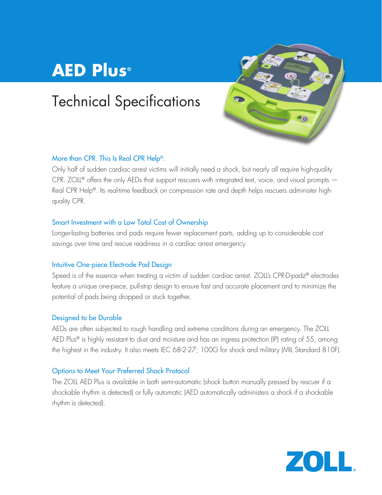# **AED Plus®**

## Technical Specifications



## More than CPR. This Is Real CPR Help®.

Only half of sudden cardiac arrest victims will initially need a shock, but nearly all require high-quality CPR. ZOLL<sup>®</sup> offers the only AEDs that support rescuers with integrated text, voice, and visual prompts  $-$ Real CPR Help®. Its real-time feedback on compression rate and depth helps rescuers administer highquality CPR.

### Smart Investment with a Low Total Cost of Ownership

Longer-lasting batteries and pads require fewer replacement parts, adding up to considerable cost savings over time and rescue readiness in a cardiac arrest emergency.

### Intuitive One-piece Electrode Pad Design

Speed is of the essence when treating a victim of sudden cardiac arrest. ZOLL's CPR-D-padz® electrodes feature a unique one-piece, pull-strip design to ensure fast and accurate placement and to minimize the potential of pads being dropped or stuck together.

### Designed to be Durable

AEDs are often subjected to rough handling and extreme conditions during an emergency. The ZOLL AED Plus® is highly resistant to dust and moisture and has an ingress protection (IP) rating of 55, among the highest in the industry. It also meets IEC 68-2-27; 100G for shock and military (MIL Standard 810F).

### Options to Meet Your Preferred Shock Protocol

The ZOLL AED Plus is available in both semi-automatic (shock button manually pressed by rescuer if a shockable rhythm is detected) or fully automatic (AED automatically administers a shock if a shockable rhythm is detected).